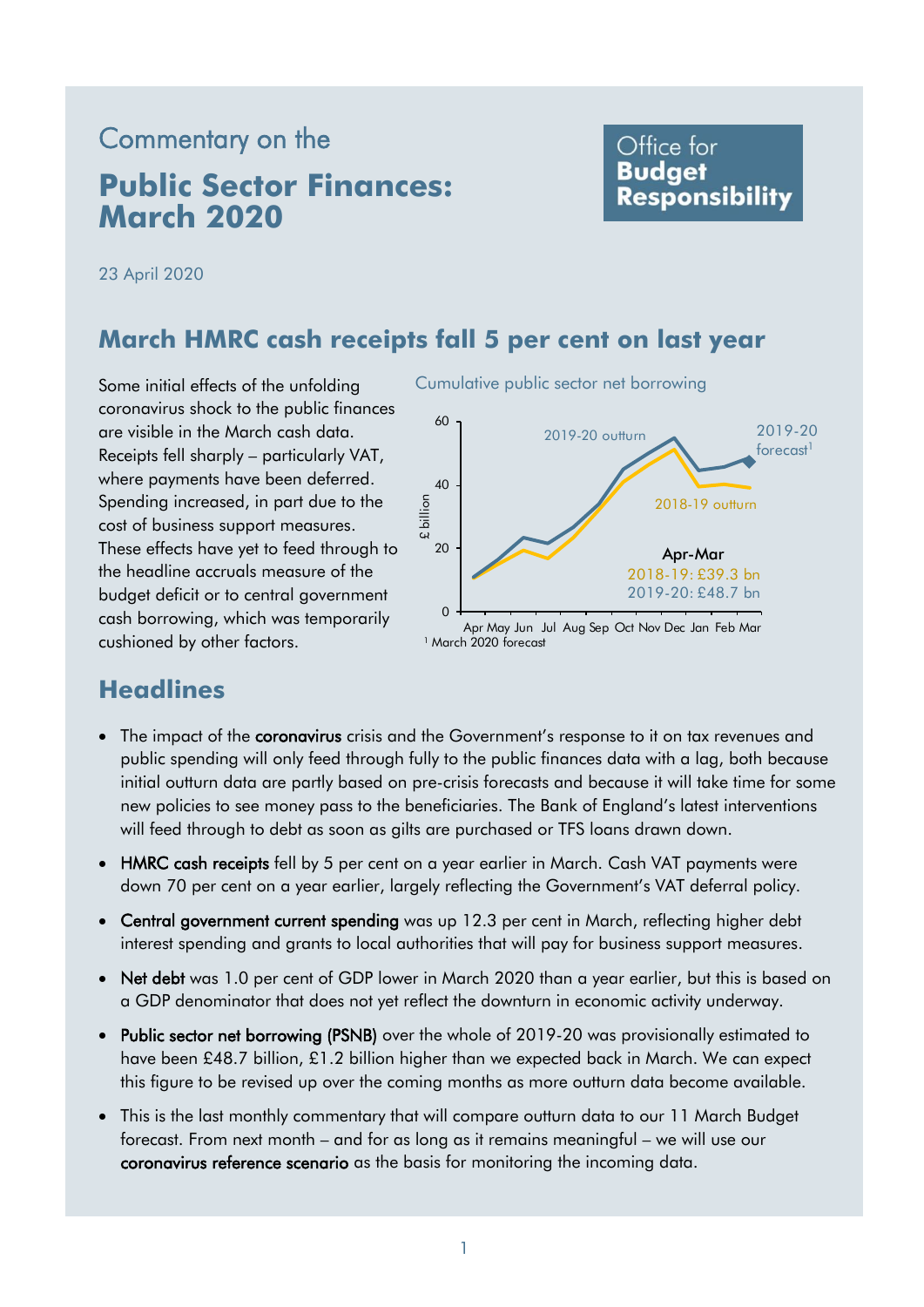# Commentary on the **Public Sector Finances: March 2020**

### Office for **Budget Responsibility**

23 April 2020

### **March HMRC cash receipts fall 5 per cent on last year**

Some initial effects of the unfolding Cumulative public sector net borrowing coronavirus shock to the public finances are visible in the March cash data. Receipts fell sharply – particularly VAT, where payments have been deferred. Spending increased, in part due to the cost of business support measures. These effects have yet to feed through to the headline accruals measure of the budget deficit or to central government cash borrowing, which was temporarily cushioned by other factors.



## **Headlines**

- The impact of the **coronavirus** crisis and the Government's response to it on tax revenues and public spending will only feed through fully to the public finances data with a lag, both because initial outturn data are partly based on pre-crisis forecasts and because it will take time for some new policies to see money pass to the beneficiaries. The Bank of England's latest interventions will feed through to debt as soon as gilts are purchased or TFS loans drawn down.
- HMRC cash receipts fell by 5 per cent on a year earlier in March. Cash VAT payments were down 70 per cent on a year earlier, largely reflecting the Government's VAT deferral policy.
- Central government current spending was up 12.3 per cent in March, reflecting higher debt interest spending and grants to local authorities that will pay for business support measures.
- Net debt was 1.0 per cent of GDP lower in March 2020 than a year earlier, but this is based on a GDP denominator that does not yet reflect the downturn in economic activity underway.
- Public sector net borrowing (PSNB) over the whole of 2019-20 was provisionally estimated to have been £48.7 billion, £1.2 billion higher than we expected back in March. We can expect this figure to be revised up over the coming months as more outturn data become available.
- This is the last monthly commentary that will compare outturn data to our 11 March Budget forecast. From next month – and for as long as it remains meaningful – we will use our coronavirus reference scenario as the basis for monitoring the incoming data.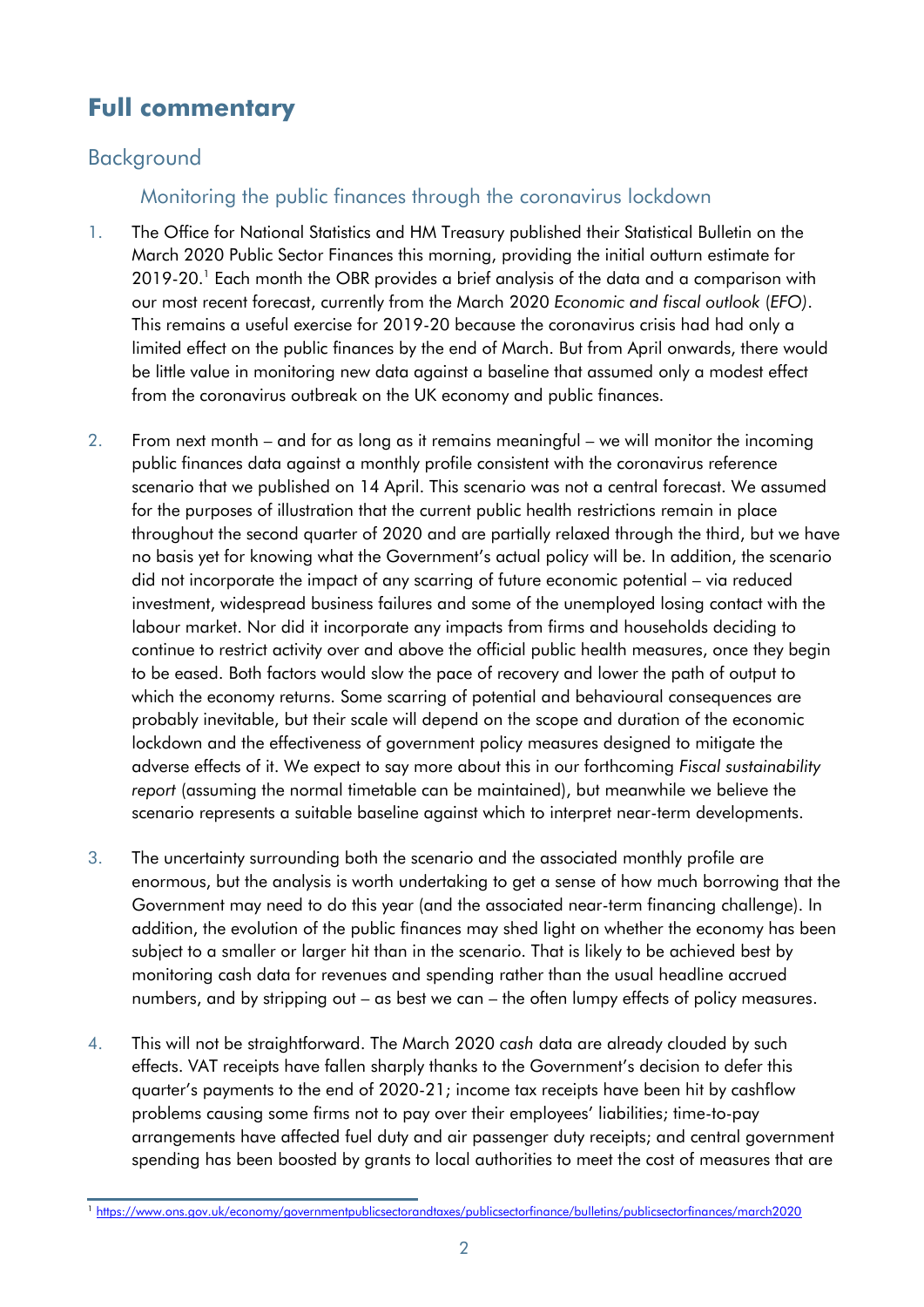# **Full commentary**

### Background

### Monitoring the public finances through the coronavirus lockdown

- 1. The Office for National Statistics and HM Treasury published their Statistical Bulletin on the March 2020 Public Sector Finances this morning, providing the initial outturn estimate for 2019-20. 1 Each month the OBR provides a brief analysis of the data and a comparison with our most recent forecast, currently from the March 2020 *Economic and fiscal outlook* (*EFO)*. This remains a useful exercise for 2019-20 because the coronavirus crisis had had only a limited effect on the public finances by the end of March. But from April onwards, there would be little value in monitoring new data against a baseline that assumed only a modest effect from the coronavirus outbreak on the UK economy and public finances.
- 2. From next month and for as long as it remains meaningful we will monitor the incoming public finances data against a monthly profile consistent with the coronavirus reference scenario that we published on 14 April. This scenario was not a central forecast. We assumed for the purposes of illustration that the current public health restrictions remain in place throughout the second quarter of 2020 and are partially relaxed through the third, but we have no basis yet for knowing what the Government's actual policy will be. In addition, the scenario did not incorporate the impact of any scarring of future economic potential – via reduced investment, widespread business failures and some of the unemployed losing contact with the labour market. Nor did it incorporate any impacts from firms and households deciding to continue to restrict activity over and above the official public health measures, once they begin to be eased. Both factors would slow the pace of recovery and lower the path of output to which the economy returns. Some scarring of potential and behavioural consequences are probably inevitable, but their scale will depend on the scope and duration of the economic lockdown and the effectiveness of government policy measures designed to mitigate the adverse effects of it. We expect to say more about this in our forthcoming *Fiscal sustainability report* (assuming the normal timetable can be maintained), but meanwhile we believe the scenario represents a suitable baseline against which to interpret near-term developments.
- 3. The uncertainty surrounding both the scenario and the associated monthly profile are enormous, but the analysis is worth undertaking to get a sense of how much borrowing that the Government may need to do this year (and the associated near-term financing challenge). In addition, the evolution of the public finances may shed light on whether the economy has been subject to a smaller or larger hit than in the scenario. That is likely to be achieved best by monitoring cash data for revenues and spending rather than the usual headline accrued numbers, and by stripping out – as best we can – the often lumpy effects of policy measures.
- 4. This will not be straightforward. The March 2020 *cash* data are already clouded by such effects. VAT receipts have fallen sharply thanks to the Government's decision to defer this quarter's payments to the end of 2020-21; income tax receipts have been hit by cashflow problems causing some firms not to pay over their employees' liabilities; time-to-pay arrangements have affected fuel duty and air passenger duty receipts; and central government spending has been boosted by grants to local authorities to meet the cost of measures that are

<sup>1</sup> <https://www.ons.gov.uk/economy/governmentpublicsectorandtaxes/publicsectorfinance/bulletins/publicsectorfinances/march2020>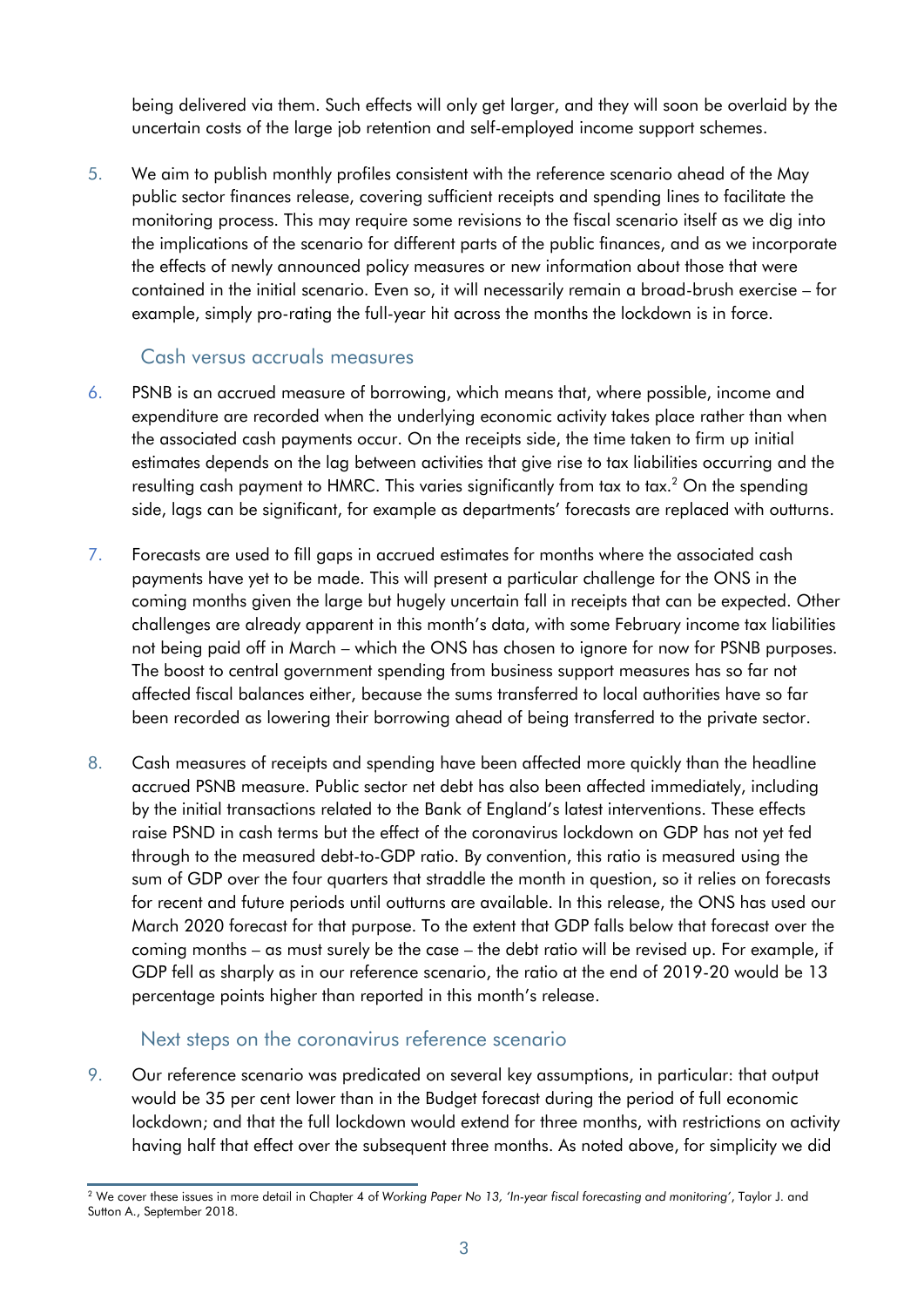being delivered via them. Such effects will only get larger, and they will soon be overlaid by the uncertain costs of the large job retention and self-employed income support schemes.

5. We aim to publish monthly profiles consistent with the reference scenario ahead of the May public sector finances release, covering sufficient receipts and spending lines to facilitate the monitoring process. This may require some revisions to the fiscal scenario itself as we dig into the implications of the scenario for different parts of the public finances, and as we incorporate the effects of newly announced policy measures or new information about those that were contained in the initial scenario. Even so, it will necessarily remain a broad-brush exercise – for example, simply pro-rating the full-year hit across the months the lockdown is in force.

### Cash versus accruals measures

- 6. PSNB is an accrued measure of borrowing, which means that, where possible, income and expenditure are recorded when the underlying economic activity takes place rather than when the associated cash payments occur. On the receipts side, the time taken to firm up initial estimates depends on the lag between activities that give rise to tax liabilities occurring and the resulting cash payment to HMRC. This varies significantly from tax to tax.<sup>2</sup> On the spending side, lags can be significant, for example as departments' forecasts are replaced with outturns.
- 7. Forecasts are used to fill gaps in accrued estimates for months where the associated cash payments have yet to be made. This will present a particular challenge for the ONS in the coming months given the large but hugely uncertain fall in receipts that can be expected. Other challenges are already apparent in this month's data, with some February income tax liabilities not being paid off in March – which the ONS has chosen to ignore for now for PSNB purposes. The boost to central government spending from business support measures has so far not affected fiscal balances either, because the sums transferred to local authorities have so far been recorded as lowering their borrowing ahead of being transferred to the private sector.
- 8. Cash measures of receipts and spending have been affected more quickly than the headline accrued PSNB measure. Public sector net debt has also been affected immediately, including by the initial transactions related to the Bank of England's latest interventions. These effects raise PSND in cash terms but the effect of the coronavirus lockdown on GDP has not yet fed through to the measured debt-to-GDP ratio. By convention, this ratio is measured using the sum of GDP over the four quarters that straddle the month in question, so it relies on forecasts for recent and future periods until outturns are available. In this release, the ONS has used our March 2020 forecast for that purpose. To the extent that GDP falls below that forecast over the coming months – as must surely be the case – the debt ratio will be revised up. For example, if GDP fell as sharply as in our reference scenario, the ratio at the end of 2019-20 would be 13 percentage points higher than reported in this month's release.

### Next steps on the coronavirus reference scenario

9. Our reference scenario was predicated on several key assumptions, in particular: that output would be 35 per cent lower than in the Budget forecast during the period of full economic lockdown; and that the full lockdown would extend for three months, with restrictions on activity having half that effect over the subsequent three months. As noted above, for simplicity we did

 2 We cover these issues in more detail in Chapter 4 of *Working Paper No 13, 'In-year fiscal forecasting and monitoring'*, Taylor J. and Sutton A., September 2018.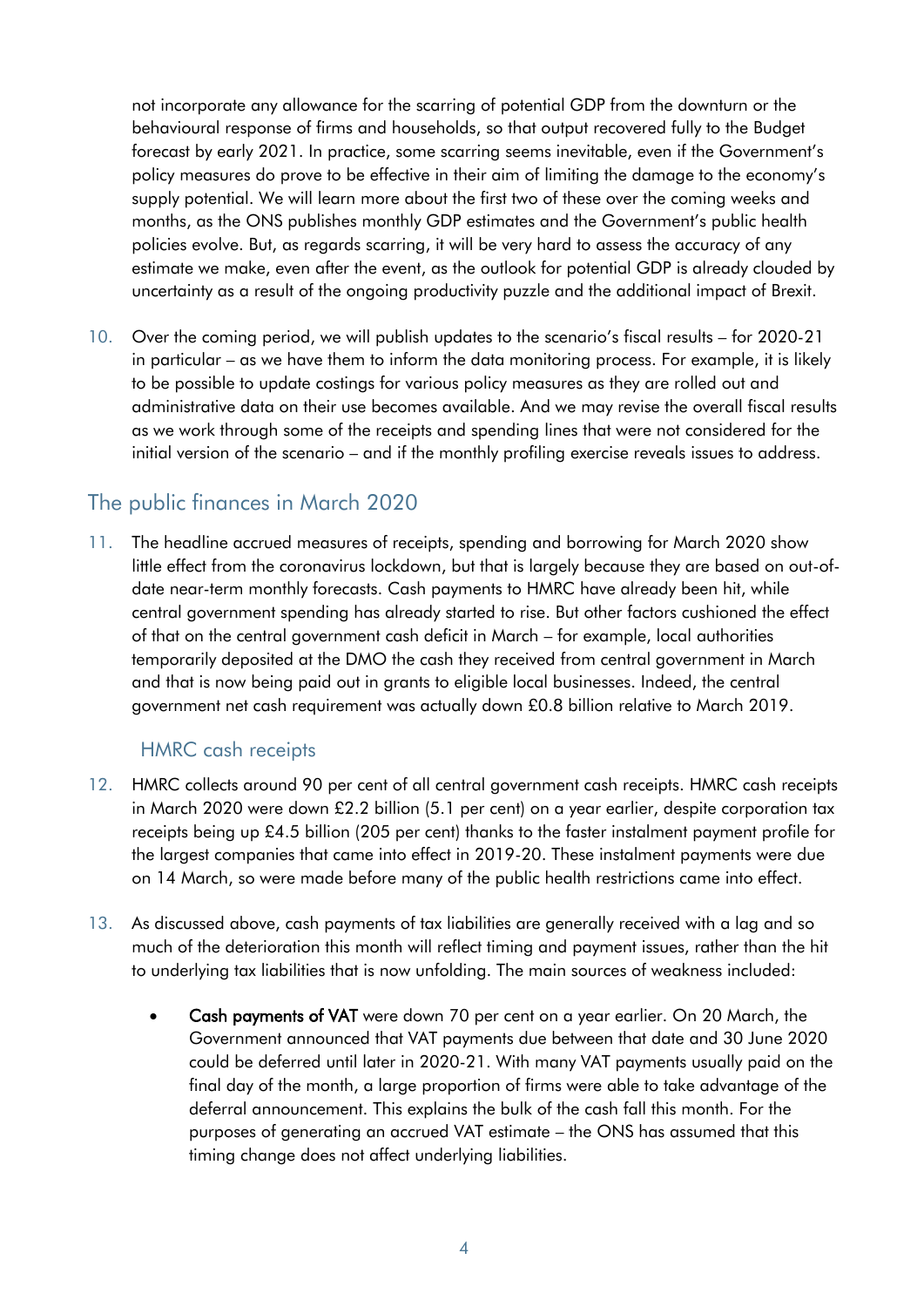policies evolve. But, as regards scarring, it will be very hard to assess the accuracy of any not incorporate any allowance for the scarring of potential GDP from the downturn or the behavioural response of firms and households, so that output recovered fully to the Budget forecast by early 2021. In practice, some scarring seems inevitable, even if the Government's policy measures do prove to be effective in their aim of limiting the damage to the economy's supply potential. We will learn more about the first two of these over the coming weeks and months, as the ONS publishes monthly GDP estimates and the Government's public health estimate we make, even after the event, as the outlook for potential GDP is already clouded by uncertainty as a result of the ongoing productivity puzzle and the additional impact of Brexit.

10. Over the coming period, we will publish updates to the scenario's fiscal results – for 2020-21 in particular – as we have them to inform the data monitoring process. For example, it is likely to be possible to update costings for various policy measures as they are rolled out and administrative data on their use becomes available. And we may revise the overall fiscal results as we work through some of the receipts and spending lines that were not considered for the initial version of the scenario – and if the monthly profiling exercise reveals issues to address.

### The public finances in March 2020

11. The headline accrued measures of receipts, spending and borrowing for March 2020 show little effect from the coronavirus lockdown, but that is largely because they are based on out-ofdate near-term monthly forecasts. Cash payments to HMRC have already been hit, while central government spending has already started to rise. But other factors cushioned the effect of that on the central government cash deficit in March – for example, local authorities temporarily deposited at the DMO the cash they received from central government in March and that is now being paid out in grants to eligible local businesses. Indeed, the central government net cash requirement was actually down £0.8 billion relative to March 2019.

### HMRC cash receipts

- 12. HMRC collects around 90 per cent of all central government cash receipts. HMRC cash receipts in March 2020 were down £2.2 billion (5.1 per cent) on a year earlier, despite corporation tax receipts being up £4.5 billion (205 per cent) thanks to the faster instalment payment profile for the largest companies that came into effect in 2019-20. These instalment payments were due on 14 March, so were made before many of the public health restrictions came into effect.
- 13. As discussed above, cash payments of tax liabilities are generally received with a lag and so much of the deterioration this month will reflect timing and payment issues, rather than the hit to underlying tax liabilities that is now unfolding. The main sources of weakness included:
	- could be deferred until later in 2020-21. With many VAT payments usually paid on the • Cash payments of VAT were down 70 per cent on a year earlier. On 20 March, the Government announced that VAT payments due between that date and 30 June 2020 final day of the month, a large proportion of firms were able to take advantage of the deferral announcement. This explains the bulk of the cash fall this month. For the purposes of generating an accrued VAT estimate – the ONS has assumed that this timing change does not affect underlying liabilities.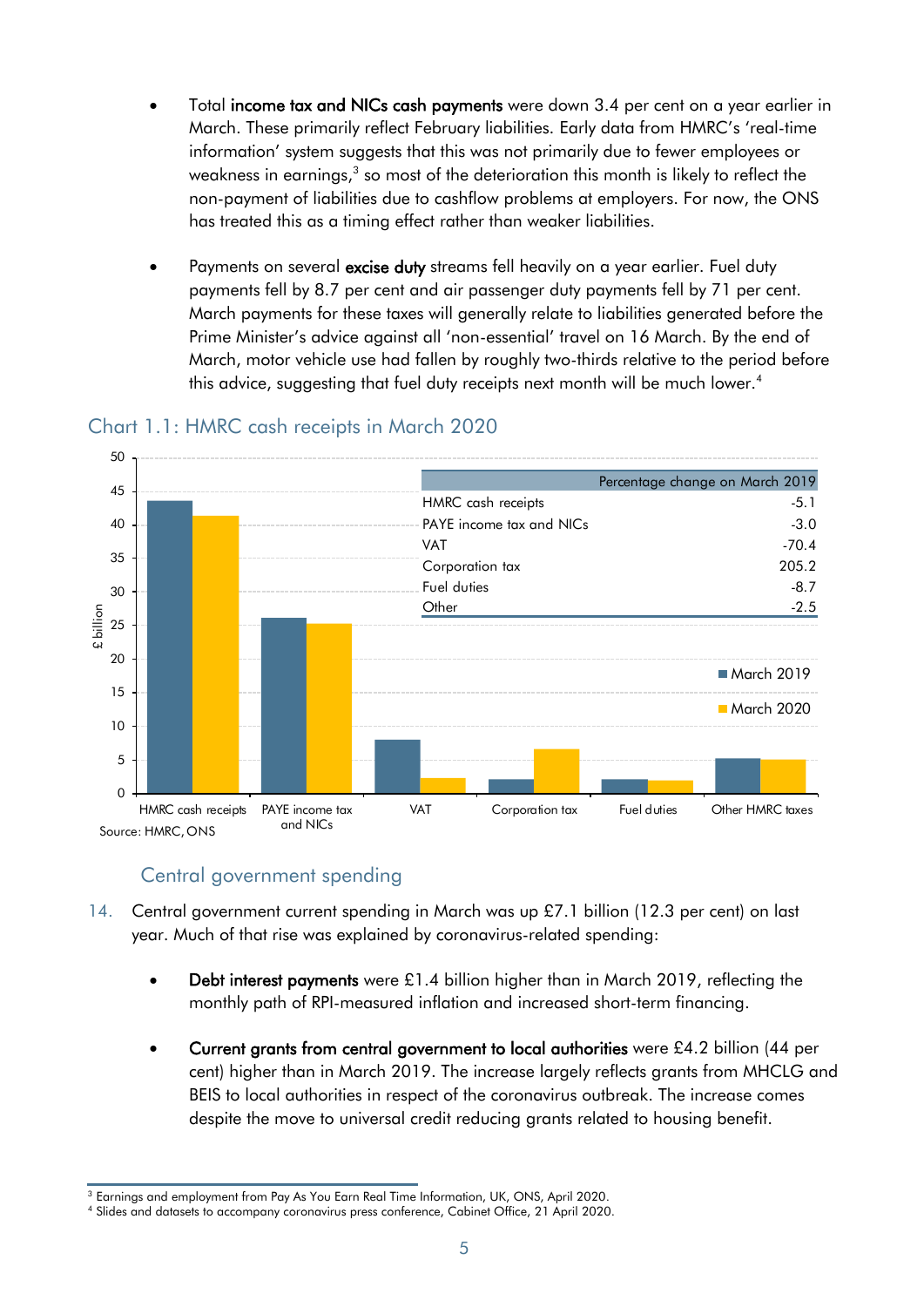- Total income tax and NICs cash payments were down 3.4 per cent on a year earlier in March. These primarily reflect February liabilities. Early data from HMRC's 'real-time information' system suggests that this was not primarily due to fewer employees or weakness in earnings, $3$  so most of the deterioration this month is likely to reflect the non-payment of liabilities due to cashflow problems at employers. For now, the ONS has treated this as a timing effect rather than weaker liabilities.
- Payments on several excise duty streams fell heavily on a year earlier. Fuel duty payments fell by 8.7 per cent and air passenger duty payments fell by 71 per cent. March payments for these taxes will generally relate to liabilities generated before the Prime Minister's advice against all 'non-essential' travel on 16 March. By the end of March, motor vehicle use had fallen by roughly two-thirds relative to the period before this advice, suggesting that fuel duty receipts next month will be much lower.<sup>4</sup>



### Chart 1.1: HMRC cash receipts in March 2020

### Central government spending

- 14. Central government current spending in March was up £7.1 billion (12.3 per cent) on last year. Much of that rise was explained by coronavirus-related spending:
	- Debt interest payments were £1.4 billion higher than in March 2019, reflecting the monthly path of RPI-measured inflation and increased short-term financing.
	- Current grants from central government to local authorities were £4.2 billion (44 per cent) higher than in March 2019. The increase largely reflects grants from MHCLG and BEIS to local authorities in respect of the coronavirus outbreak. The increase comes despite the move to universal credit reducing grants related to housing benefit.

<sup>&</sup>lt;sup>3</sup> Earnings and employment from Pay As You Earn Real Time Information, UK, ONS, April 2020.

 $^3$  Earnings and employment from Pay As You Earn Real Time Information, UK, ONS, April 2020.<br><sup>4</sup> Slides and datasets to accompany coronavirus press conference, Cabinet Office, 21 April 2020.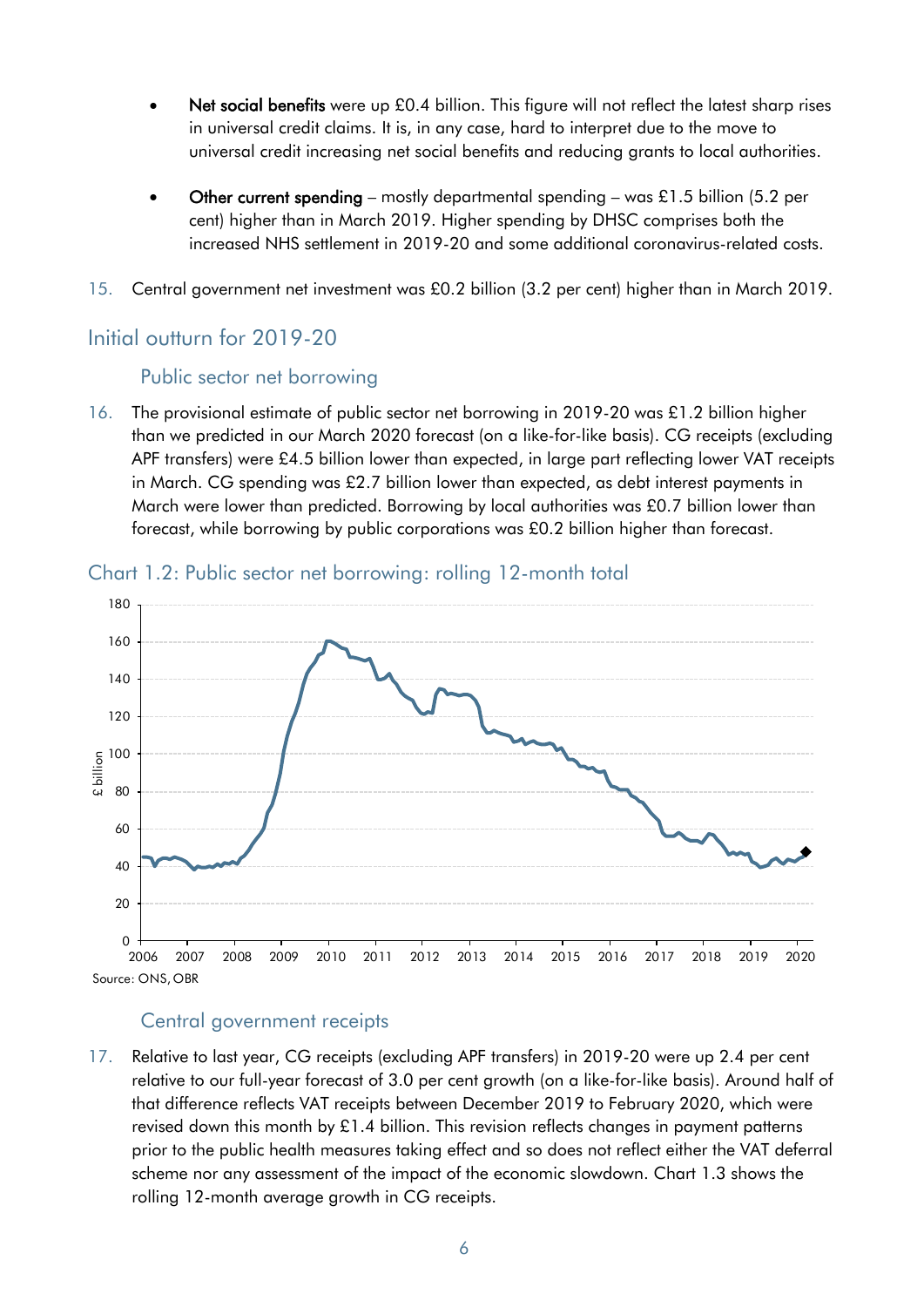- Net social benefits were up £0.4 billion. This figure will not reflect the latest sharp rises in universal credit claims. It is, in any case, hard to interpret due to the move to universal credit increasing net social benefits and reducing grants to local authorities.
- Other current spending mostly departmental spending was £1.5 billion (5.2 per cent) higher than in March 2019. Higher spending by DHSC comprises both the increased NHS settlement in 2019-20 and some additional coronavirus-related costs.
- 15. Central government net investment was £0.2 billion (3.2 per cent) higher than in March 2019.

### Initial outturn for 2019-20

### Public sector net borrowing

16. The provisional estimate of public sector net borrowing in 2019-20 was £1.2 billion higher than we predicted in our March 2020 forecast (on a like-for-like basis). CG receipts (excluding APF transfers) were £4.5 billion lower than expected, in large part reflecting lower VAT receipts in March. CG spending was £2.7 billion lower than expected, as debt interest payments in March were lower than predicted. Borrowing by local authorities was £0.7 billion lower than forecast, while borrowing by public corporations was £0.2 billion higher than forecast.



### Chart 1.2: Public sector net borrowing: rolling 12-month total

### Central government receipts

17. Relative to last year, CG receipts (excluding APF transfers) in 2019-20 were up 2.4 per cent relative to our full-year forecast of 3.0 per cent growth (on a like-for-like basis). Around half of that difference reflects VAT receipts between December 2019 to February 2020, which were revised down this month by £1.4 billion. This revision reflects changes in payment patterns prior to the public health measures taking effect and so does not reflect either the VAT deferral scheme nor any assessment of the impact of the economic slowdown. Chart 1.3 shows the rolling 12-month average growth in CG receipts.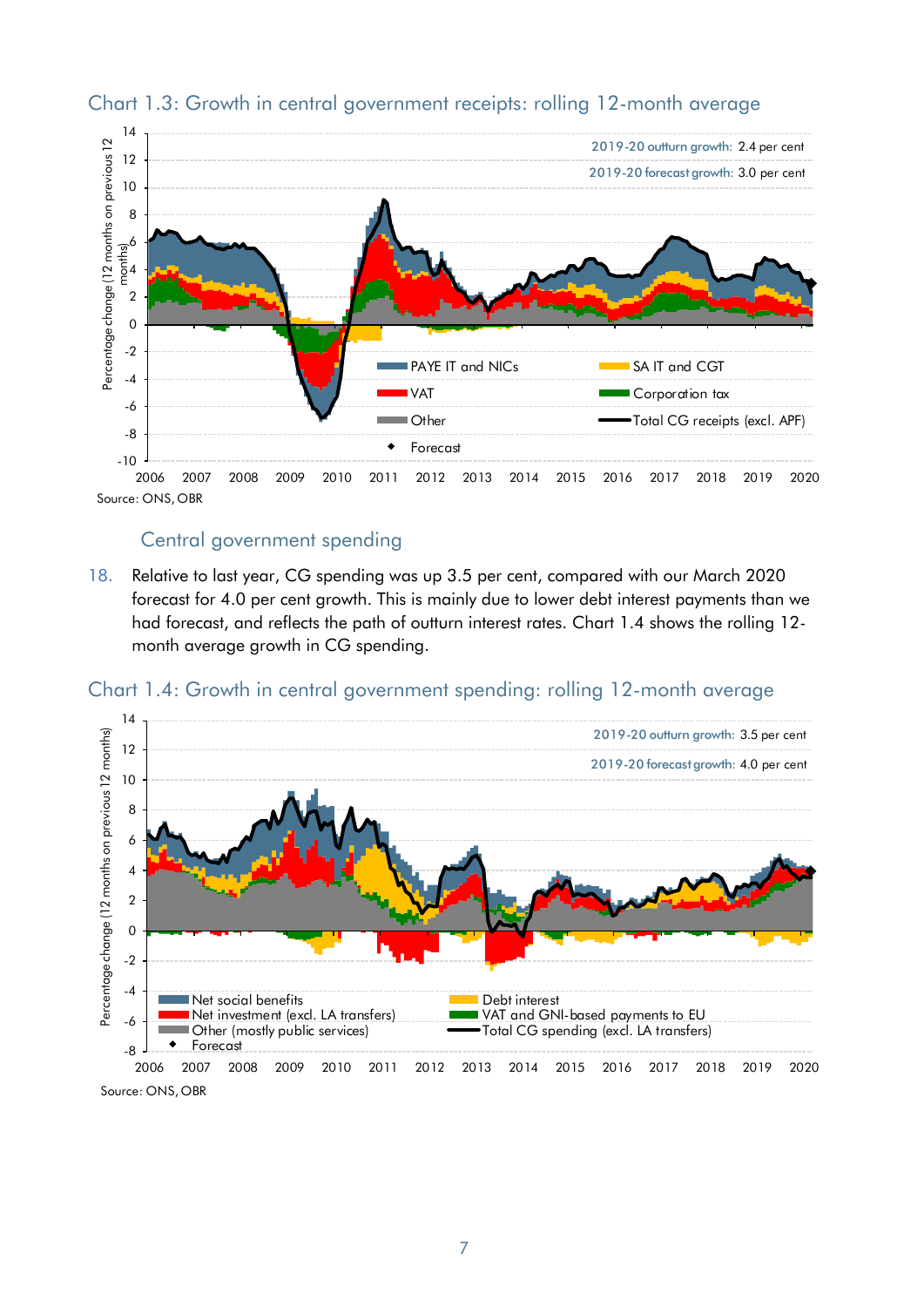

### Chart 1.3: Growth in central government receipts: rolling 12-month average

#### Central government spending

18. Relative to last year, CG spending was up 3.5 per cent, compared with our March 2020 forecast for 4.0 per cent growth. This is mainly due to lower debt interest payments than we had forecast, and reflects the path of outturn interest rates. Chart 1.4 shows the rolling 12 month average growth in CG spending.





Source: ONS, OBR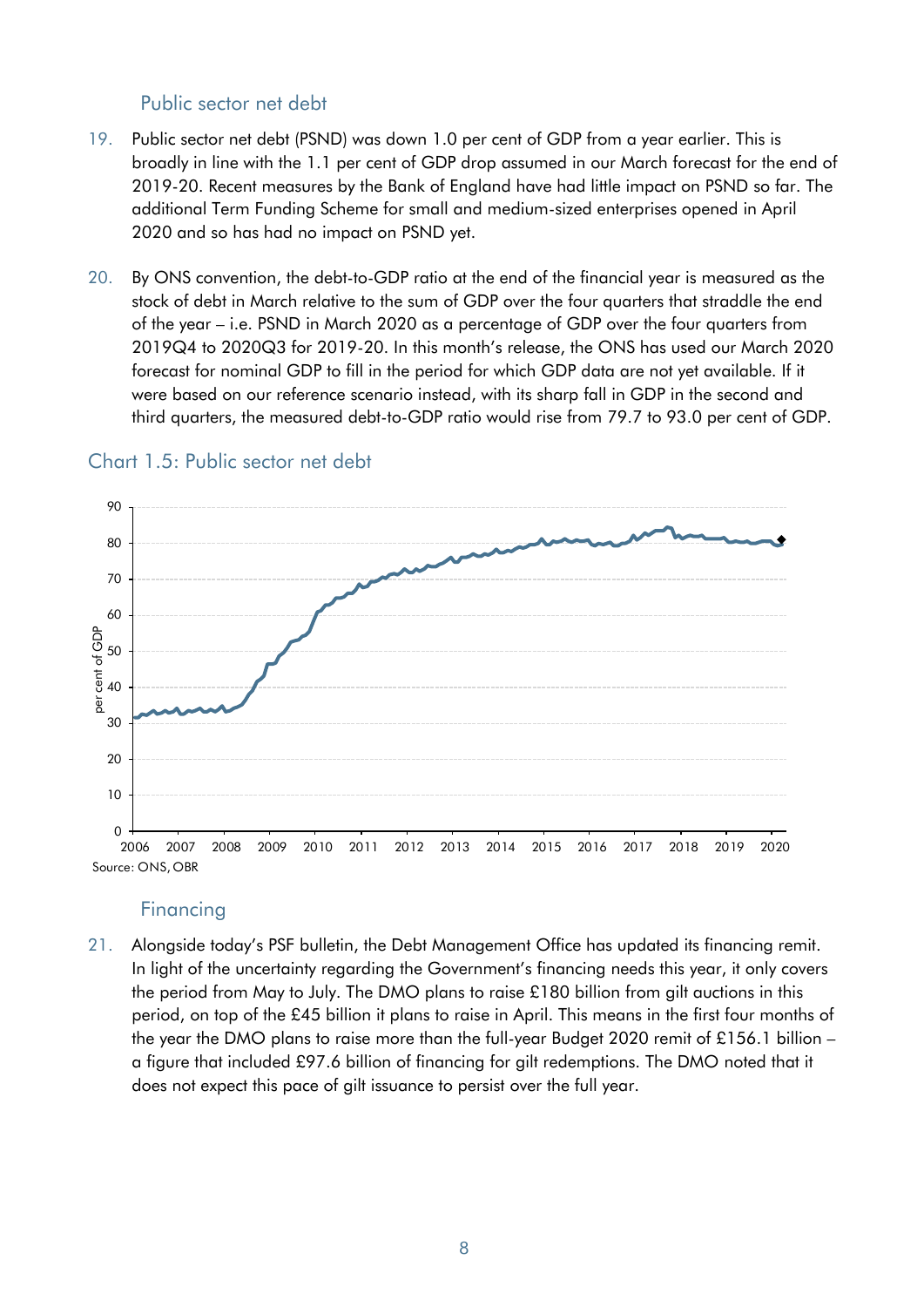#### Public sector net debt

- 19. Public sector net debt (PSND) was down 1.0 per cent of GDP from a year earlier. This is broadly in line with the 1.1 per cent of GDP drop assumed in our March forecast for the end of 2019-20. Recent measures by the Bank of England have had little impact on PSND so far. The additional Term Funding Scheme for small and medium-sized enterprises opened in April 2020 and so has had no impact on PSND yet.
- 20. By ONS convention, the debt-to-GDP ratio at the end of the financial year is measured as the stock of debt in March relative to the sum of GDP over the four quarters that straddle the end of the year – i.e. PSND in March 2020 as a percentage of GDP over the four quarters from 2019Q4 to 2020Q3 for 2019-20. In this month's release, the ONS has used our March 2020 forecast for nominal GDP to fill in the period for which GDP data are not yet available. If it were based on our reference scenario instead, with its sharp fall in GDP in the second and third quarters, the measured debt-to-GDP ratio would rise from 79.7 to 93.0 per cent of GDP.



#### Chart 1.5: Public sector net debt

#### Financing

21. Alongside today's PSF bulletin, the Debt Management Office has updated its financing remit. In light of the uncertainty regarding the Government's financing needs this year, it only covers the period from May to July. The DMO plans to raise £180 billion from gilt auctions in this period, on top of the £45 billion it plans to raise in April. This means in the first four months of the year the DMO plans to raise more than the full-year Budget 2020 remit of £156.1 billion – a figure that included £97.6 billion of financing for gilt redemptions. The DMO noted that it does not expect this pace of gilt issuance to persist over the full year.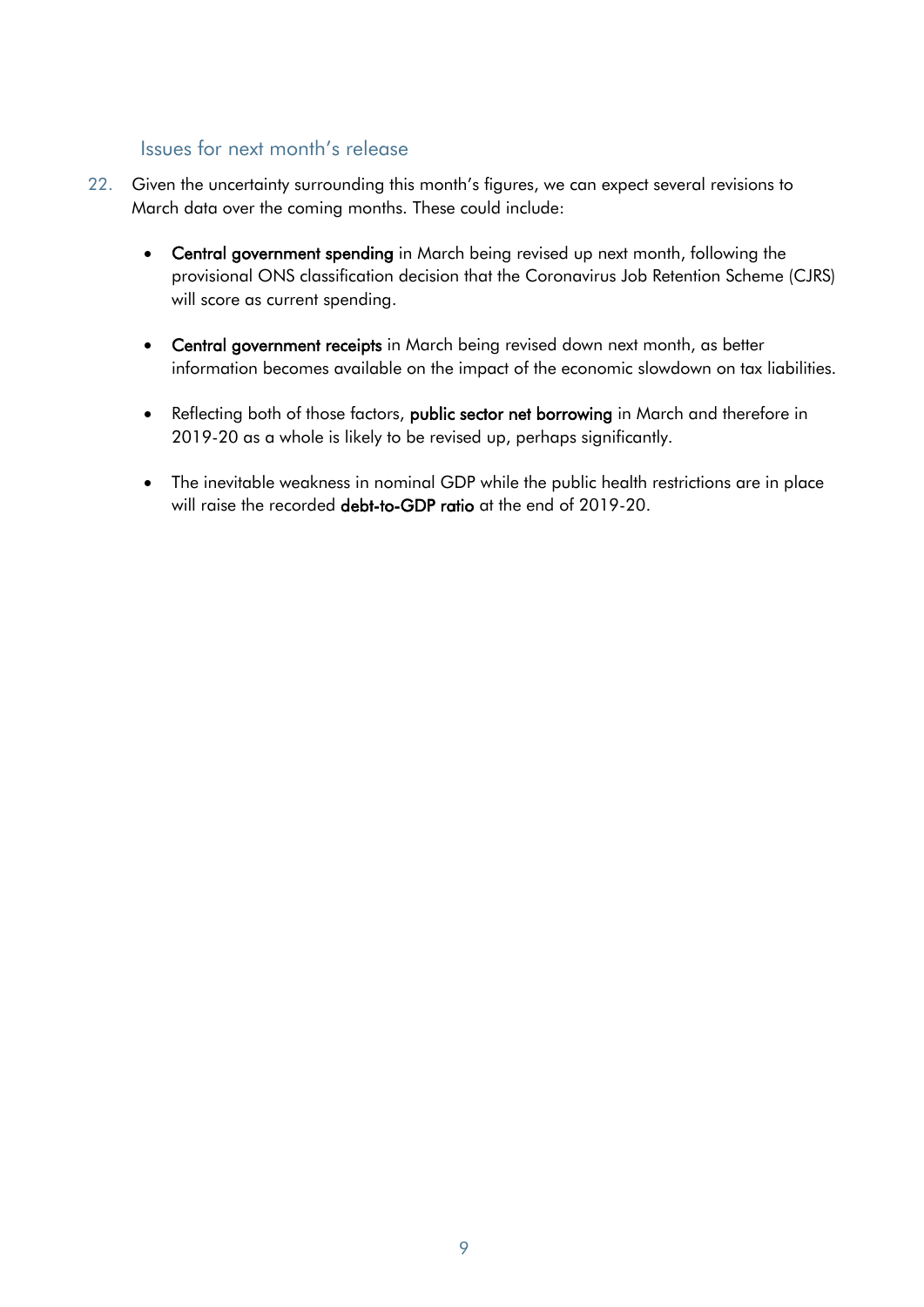### Issues for next month's release

- 22. Given the uncertainty surrounding this month's figures, we can expect several revisions to March data over the coming months. These could include:
	- Central government spending in March being revised up next month, following the provisional ONS classification decision that the Coronavirus Job Retention Scheme (CJRS) will score as current spending.
	- Central government receipts in March being revised down next month, as better information becomes available on the impact of the economic slowdown on tax liabilities.
	- Reflecting both of those factors, public sector net borrowing in March and therefore in 2019-20 as a whole is likely to be revised up, perhaps significantly.
	- The inevitable weakness in nominal GDP while the public health restrictions are in place will raise the recorded debt-to-GDP ratio at the end of 2019-20.